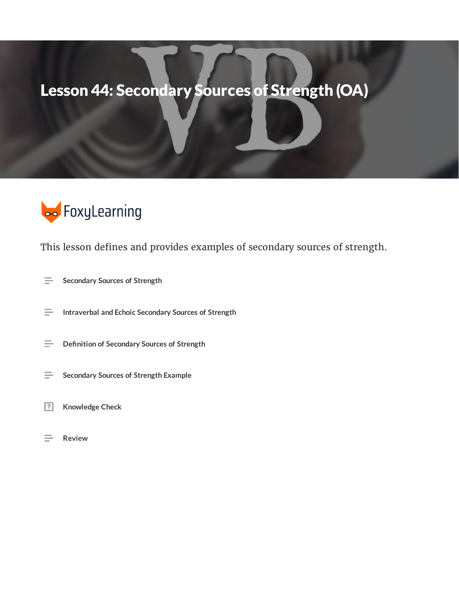## Lesson 44: Secondary Sources of Strength (OA)



This lesson defines and provides examples of secondary sources of strength.

- $\equiv$ **Secondary Sources of Strength**
- $\equiv$ **Intraverbal and Echoic Secondary Sources of Strength**
- **Definition of Secondary Sources of Strength**  $\equiv$
- $\equiv$ **Secondary Sources of Strength Example**
- $\boxed{?}$ **Knowledge Check**
- $\equiv$ **Review**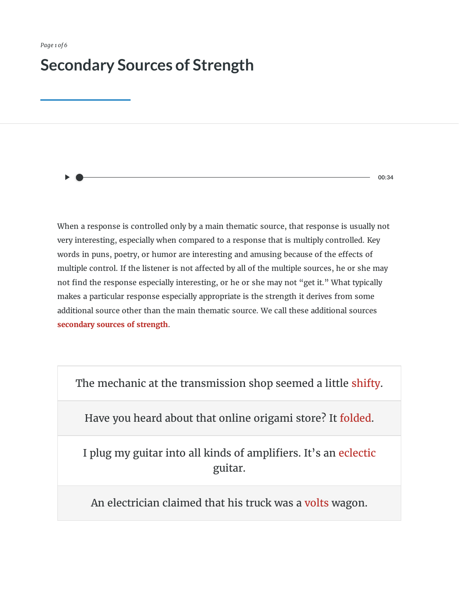## **Secondary Sources of Strength**

**00:34**

When a response is controlled only by a main thematic source, that response is usually not very interesting, especially when compared to a response that is multiply controlled. Key words in puns, poetry, or humor are interesting and amusing because of the effects of multiple control. If the listener is not affected by all of the multiple sources, he or she may not find the response especially interesting, or he or she may not "get it." What typically makes a particular response especially appropriate is the strength it derives from some additional source other than the main thematic source. We call these additional sources **secondary sources of strength**.

The mechanic at the transmission shop seemed a little shifty.

Have you heard about that online origami store? It folded.

I plug my guitar into all kinds of amplifiers. It's an eclectic guitar.

An electrician claimed that his truck was a volts wagon.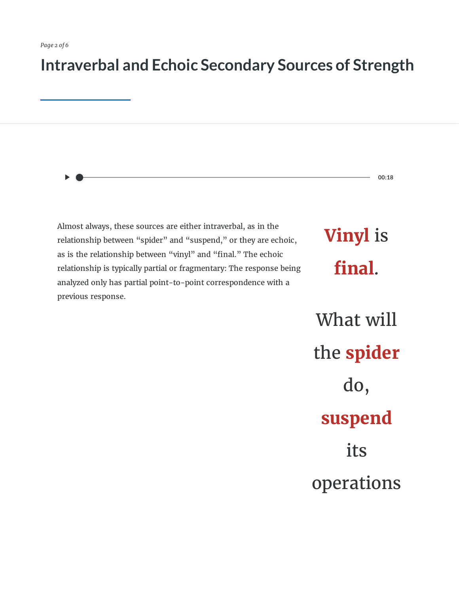### **Intraverbal and Echoic Secondary Sources of Strength**

Almost always, these sources are either intraverbal, as in the relationship between "spider" and "suspend," or they are echoic, as is the relationship between "vinyl" and "final." The echoic relationship is typically partial or fragmentary: The response being analyzed only has partial point-to-point correspondence with a previous response.

**Vinyl** is final.

**00:18**

What will the **spider** do, **suspend** its operations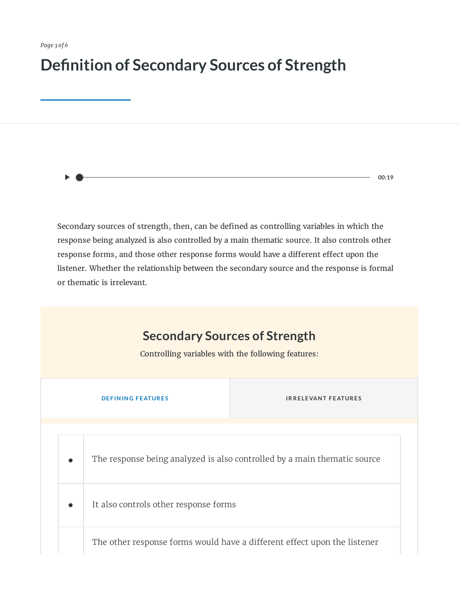## **Definition of Secondary Sources of Strength**

Secondary sources of strength, then, can be defined as controlling variables in which the response being analyzed is also controlled by a main thematic source. It also controls other response forms, and those other response forms would have a different effect upon the

**00:19**

listener. Whether the relationship between the secondary source and the response is formal or thematic is irrelevant.

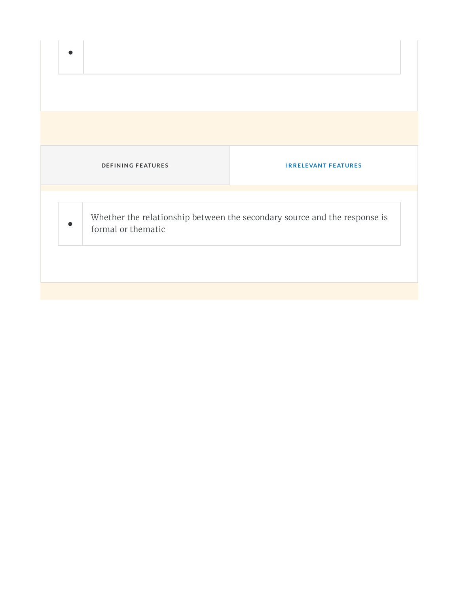|   | <b>DEFINING FEATURES</b>                                                                        | <b>IRRELEVANT FEATURES</b> |  |
|---|-------------------------------------------------------------------------------------------------|----------------------------|--|
|   |                                                                                                 |                            |  |
| ● | Whether the relationship between the secondary source and the response is<br>formal or thematic |                            |  |
|   |                                                                                                 |                            |  |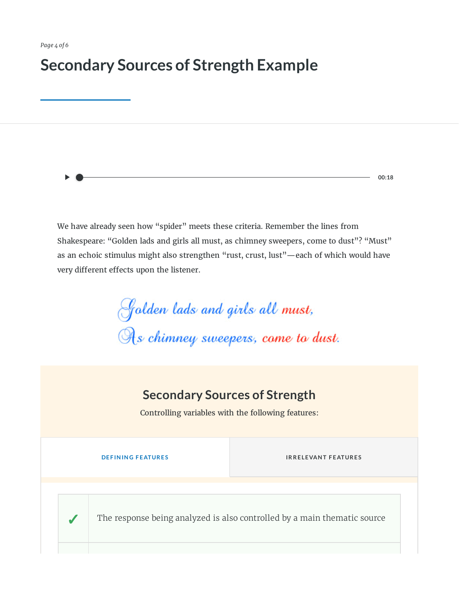## **Secondary Sources of Strength Example**

We have already seen how "spider" meets these criteria. Remember the lines from Shakespeare: "Golden lads and girls all must, as chimney sweepers, come to dust"? "Must" as an echoic stimulus might also strengthen "rust, crust, lust"—each of which would have very different effects upon the listener.

Golden lads and girls all must,<br>As chimney sweepers, come to dust.

### **Secondary Sources of Strength**

Controlling variables with the following features:

**IRRELEVANT FEATURES** 

**00:18**

The response being analyzed is also controlled by a main thematic source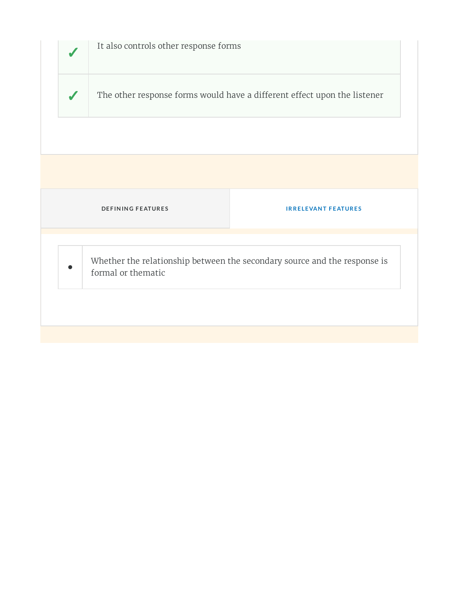|                                                                                                 | It also controls other response forms                                    |                            |  |
|-------------------------------------------------------------------------------------------------|--------------------------------------------------------------------------|----------------------------|--|
| $\sqrt{2}$                                                                                      | The other response forms would have a different effect upon the listener |                            |  |
|                                                                                                 |                                                                          |                            |  |
|                                                                                                 |                                                                          |                            |  |
|                                                                                                 | <b>DEFINING FEATURES</b>                                                 | <b>IRRELEVANT FEATURES</b> |  |
| Whether the relationship between the secondary source and the response is<br>formal or thematic |                                                                          |                            |  |
|                                                                                                 |                                                                          |                            |  |
|                                                                                                 |                                                                          |                            |  |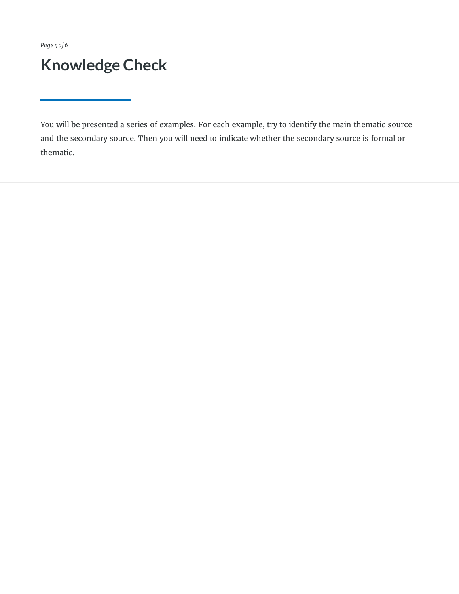*Page 5 of 6*

## **Knowledge Check**

You will be presented a series of examples. For each example, try to identify the main thematic source and the secondary source. Then you will need to indicate whether the secondary source is formal or thematic.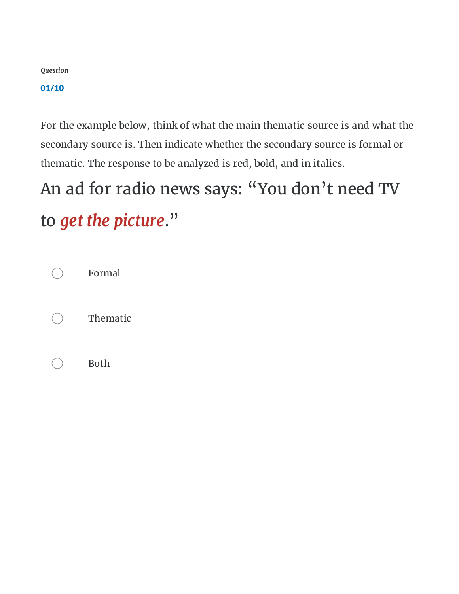#### 01/10

For the example below, think of what the main thematic source is and what the secondary source is. Then indicate whether the secondary source is formal or thematic. The response to be analyzed is red, bold, and in italics.

## An ad for radio news says: "You don't need TV to *get the picture*."

Formal Thematic Both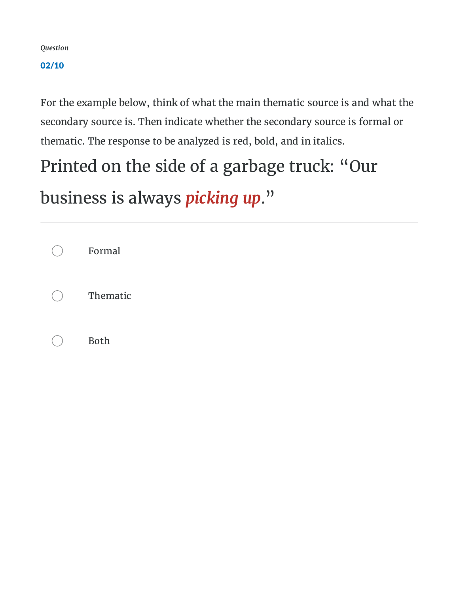#### 02/10

For the example below, think of what the main thematic source is and what the secondary source is. Then indicate whether the secondary source is formal or thematic. The response to be analyzed is red, bold, and in italics.

## Printed on the side of a garbage truck: "Our

business is always *picking up*."

Formal Thematic Both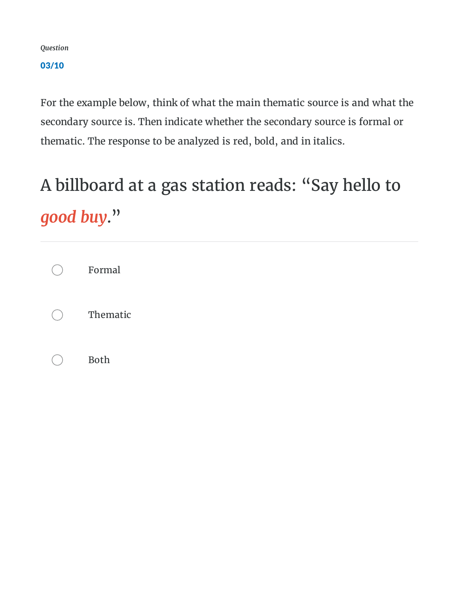#### 03/10

For the example below, think of what the main thematic source is and what the secondary source is. Then indicate whether the secondary source is formal or thematic. The response to be analyzed is red, bold, and in italics.

# A billboard at a gas station reads: "Say hello to *good buy*."

Formal Thematic Both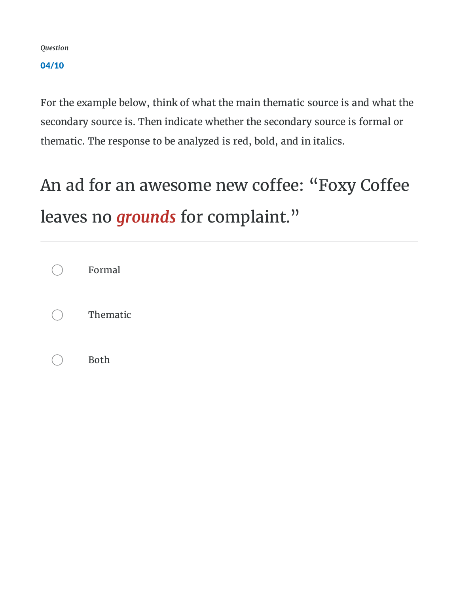04/10

For the example below, think of what the main thematic source is and what the secondary source is. Then indicate whether the secondary source is formal or thematic. The response to be analyzed is red, bold, and in italics.

## An ad for an awesome new coffee: "Foxy Coffee leaves no *grounds* for complaint."

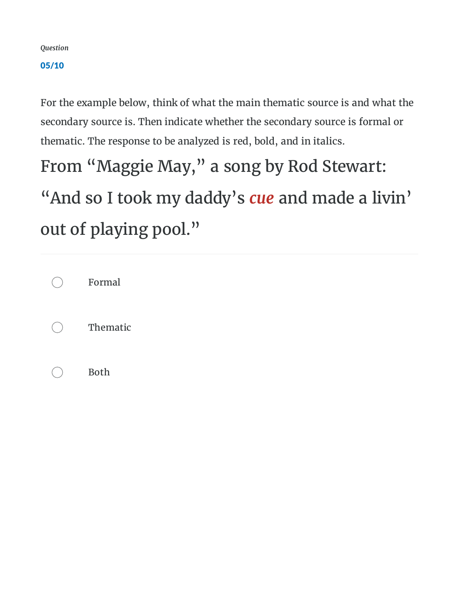#### 05/10

For the example below, think of what the main thematic source is and what the secondary source is. Then indicate whether the secondary source is formal or thematic. The response to be analyzed is red, bold, and in italics.

From "Maggie May, " a song by Rod Stewart: "And so I took my daddy's *cue* and made a livin' out of playing pool."

| Formal      |
|-------------|
| Thematic    |
| <b>Both</b> |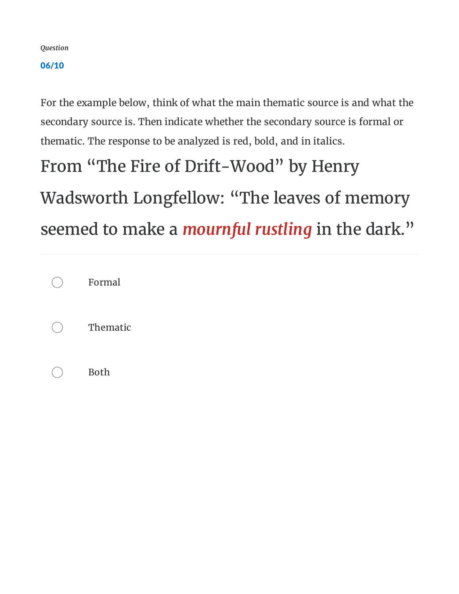#### 06/10

For the example below, think of what the main thematic source is and what the secondary source is. Then indicate whether the secondary source is formal or thematic. The response to be analyzed is red, bold, and in italics.

# From "The Fire of Drift-Wood" by Henry Wadsworth Longfellow: "The leaves of memory seemed to make a *mournful rustling* in the dark."

| Formal      |
|-------------|
| Thematic    |
| <b>Both</b> |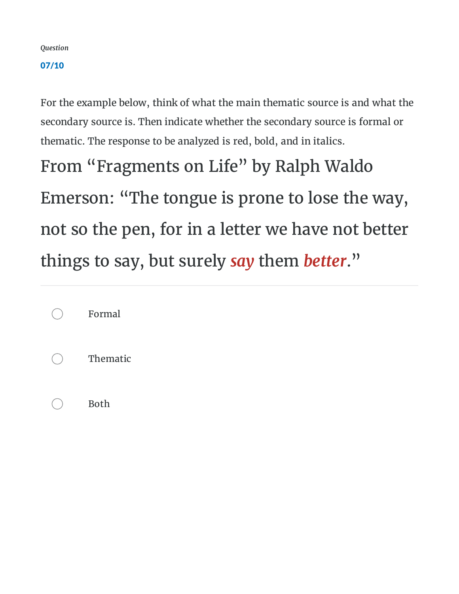#### 07/10

For the example below, think of what the main thematic source is and what the secondary source is. Then indicate whether the secondary source is formal or thematic. The response to be analyzed is red, bold, and in italics.

From "Fragments on Life" by Ralph Waldo Emerson: "The tongue is prone to lose the way, not so the pen, for in a letter we have not better things to say, but surely *say* them *better*."

| Formal      |  |
|-------------|--|
| Thematic    |  |
| <b>Both</b> |  |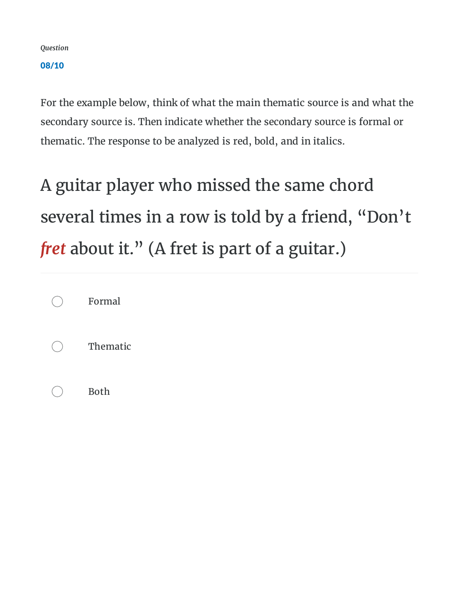08/10

For the example below, think of what the main thematic source is and what the secondary source is. Then indicate whether the secondary source is formal or thematic. The response to be analyzed is red, bold, and in italics.

A guitar player who missed the same chord several times in a row is told by a friend, "Don't *fret* about it." (A fret is part of a guitar.)

| Formal      |
|-------------|
| Thematic    |
| <b>Both</b> |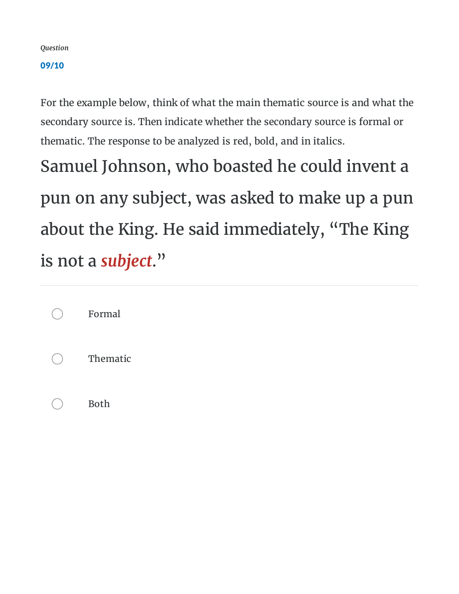#### 09/10

For the example below, think of what the main thematic source is and what the secondary source is. Then indicate whether the secondary source is formal or thematic. The response to be analyzed is red, bold, and in italics.

Samuel Johnson, who boasted he could invent a pun on any subject, was asked to make up a pun about the King. He said immediately, "The King is not a *subject*."

| Formal   |  |
|----------|--|
| Thematic |  |
| Both     |  |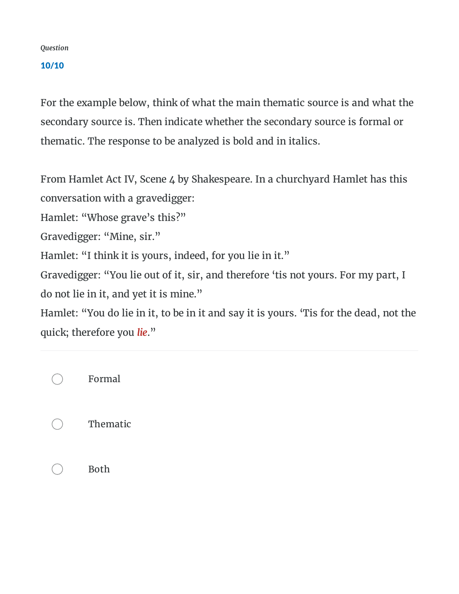#### 10/10

For the example below, think of what the main thematic source is and what the secondary source is. Then indicate whether the secondary source is formal or thematic. The response to be analyzed is bold and in italics.

From Hamlet Act IV, Scene 4 by Shakespeare. In a churchyard Hamlet has this conversation with a gravedigger:

Hamlet: "Whose grave's this?"

Gravedigger: "Mine, sir."

Hamlet: "I think it is yours, indeed, for you lie in it."

Gravedigger: "You lie out of it, sir, and therefore 'tis not yours. For my part, I do not lie in it, and yet it is mine."

Hamlet: "You do lie in it, to be in it and say it is yours. 'Tis for the dead, not the quick; therefore you *lie*."